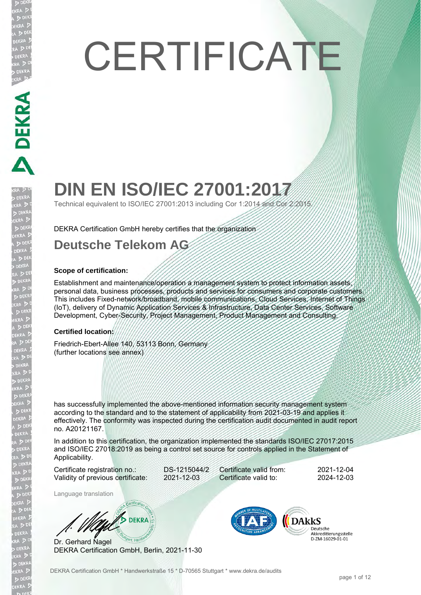# **CERTIFICATE**

# **DIN EN ISO/IEC 27001:2017**

Technical equivalent to ISO/IEC 27001:2013 including Cor 1:2014 and Cor 2:2015.

DEKRA Certification GmbH hereby certifies that the organization

### **Deutsche Telekom AG**

### **Scope of certification:**

**DEKRA PRACTICAL PROPERTY** 

**JEKRA** 

EKRA  $D<sub>E</sub>$ **EKR** 

Establishment and maintenance/operation a management system to protect information assets, personal data, business processes, products and services for consumers and corporate customers. This includes Fixed-network/broadband, mobile communications, Cloud Services, Internet of Things (IoT), delivery of Dynamic Application Services & Infrastructure, Data Center Services, Software Development, Cyber-Security, Project Management, Product Management and Consulting.

### **Certified location:**

Friedrich-Ebert-Allee 140, 53113 Bonn, Germany (further locations see annex)

has successfully implemented the above-mentioned information security management system according to the standard and to the statement of applicability from 2021-03-19 and applies it effectively. The conformity was inspected during the certification audit documented in audit report no. A20121167.

In addition to this certification, the organization implemented the standards ISO/IEC 27017:2015 and ISO/IEC 27018:2019 as being a control set source for controls applied in the Statement of Applicability.

Certificate registration no.: DS-1215044/2 Validity of previous certificate: 2021-12-03

Certificate valid from: 2021-12-04 Certificate valid to: 2024-12-03

Language translation

**DEKRA** 

Dr. Gerhard Nagel DEKRA Certification GmbH, Berlin, 2021-11-30

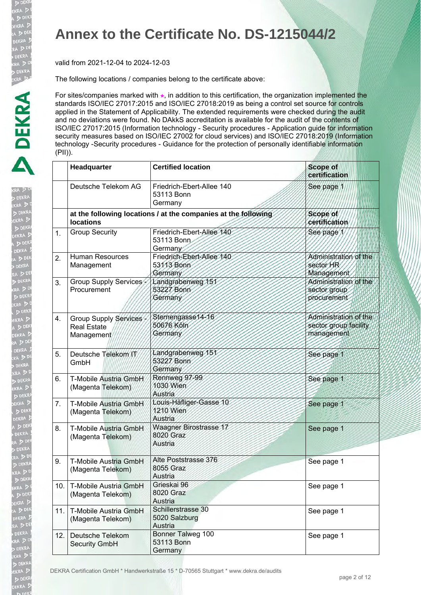D DEK EKRA  $> 0.5$ DEKRA  $\geq 5$ **DEKR** 

D DEK

EKRA

A D

<sub>KRA</sub>D<br><sub>KRAD</sub><br>EKRAD

**DEK EKRA**  $\overline{D}$  DEN **DEKRA**  $\sqrt{2}$ 

 $D<sub>0</sub>$ .<br>EKRA  $A > 0$ **DEKRA** 

### **Annex to the Certificate No. DS-1215044/2**

valid from 2021-12-04 to 2024-12-03

The following locations / companies belong to the certificate above:

|     | Headquarter                                               | <b>Certified location</b>                                      | <b>Scope of</b><br>certification                             |
|-----|-----------------------------------------------------------|----------------------------------------------------------------|--------------------------------------------------------------|
|     | Deutsche Telekom AG                                       | Friedrich-Ebert-Allee 140<br>53113 Bonn<br>Germany             | See page 1                                                   |
|     | <b>locations</b>                                          | at the following locations / at the companies at the following | Scope of<br>certification                                    |
| 1.  | <b>Group Security</b>                                     | Friedrich-Ebert-Allee 140<br>53113 Bonn<br>Germany             | See page 1                                                   |
| 2.  | <b>Human Resources</b><br>Management                      | Friedrich-Ebert-Allee 140<br>53113 Bonn<br>Germany             | Administration of the<br>sector HR<br>Management             |
| 3.  | Group Supply Services<br>Procurement                      | Landgrabenweg 151<br>53227 Bonn<br>Germany                     | Administration of the<br>sector group<br>procurement         |
| 4.  | Group Supply Services<br><b>Real Estate</b><br>Management | Sternengasse14-16<br>50676 Köln<br>Germany                     | Administration of the<br>sector group facility<br>management |
| 5.  | Deutsche Telekom/IT<br>GmbH                               | Landgrabenweg 151<br>53227 Bonn<br>Germany                     | See page 1                                                   |
| 6.  | T-Mobile Austria GmbH<br>(Magenta Telekom)                | Rennweg 97-99<br>1030 Wien<br>Austria                          | See page 1                                                   |
| 7.  | T-Mobile Austria GmbH<br>(Magenta Telekom)                | Louis-Häfliger-Gasse 10<br>1210 Wien<br>Austria                | See page 1                                                   |
| 8.  | T-Mobile Austria GmbH<br>(Magenta Telekom)                | Waagner Birostrasse 17<br>8020 Graz<br>Austria                 | See page 1                                                   |
| 9.  | T-Mobile Austria GmbH<br>(Magenta Telekom)                | Alte Poststrasse 376<br>8055 Graz<br>Austria                   | See page 1                                                   |
| 10. | T-Mobile Austria GmbH<br>(Magenta Telekom)                | Grieskai 96<br>8020 Graz<br>Austria                            | See page 1                                                   |
| 11. | T-Mobile Austria GmbH<br>(Magenta Telekom)                | Schillerstrasse 30<br>5020 Salzburg<br>Austria                 | See page 1                                                   |
| 12. | Deutsche Telekom<br><b>Security GmbH</b>                  | <b>Bonner Talweg 100</b><br>53113 Bonn<br>Germany              | See page 1                                                   |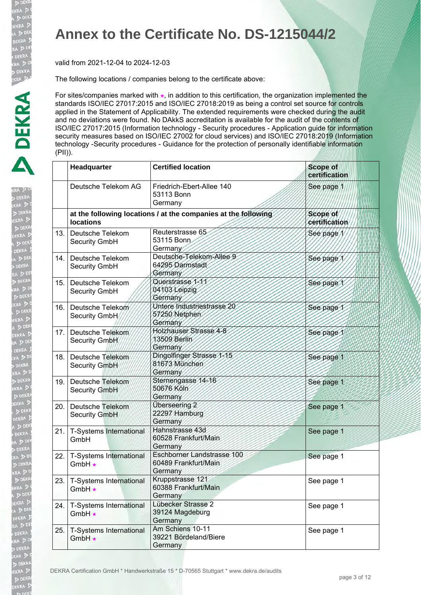D DEK EKRA  $> 05$ DEKRA  $\geq 5$ **DEKR** 

D DEK

EKRA

A D

k Derig<br>KRA D<br>DEKR<br>EKRA D

**DEK EKRA** DEN **DEKRA**  $\sum$ 

 $D<sub>0</sub>$ .<br>BEKRA  $A > 0$ DEKRA

### **Annex to the Certificate No. DS-1215044/2**

valid from 2021-12-04 to 2024-12-03

The following locations / companies belong to the certificate above:

|      | Headquarter                                   | <b>Certified location</b>                                      | <b>Scope of</b><br>certification |
|------|-----------------------------------------------|----------------------------------------------------------------|----------------------------------|
|      | Deutsche Telekom AG                           | Friedrich-Ebert-Allee 140<br>53113 Bonn<br>Germany             | See page 1                       |
|      | <b>locations</b>                              | at the following locations / at the companies at the following | Scope of<br>certification        |
|      | 13. Deutsche Telekom<br>Security GmbH         | Reuterstrasse 65<br>53115 Bonn<br>Germany                      | See page                         |
| 14.  | Deutsche Telekom<br>Security GmbH             | Deutsche-Telekom-Allee 9<br>64295 Darmstadt<br>Germany         | See page /                       |
| 15.  | Deutsche Telekom<br>Security GmbH             | Querstrasse 1-11<br>04103 Leipzig<br>Germany                   | See page 1                       |
| 16.  | Deutsche Telekom<br>Security GmbH             | Untere Industriestrasse 20<br>57250 Netphen<br>Germany         | See page 1                       |
|      | 17. Deutsche Telekom<br>Security GmbH         | Holzhauser Strasse 4-8<br>13509 Berlin<br>Germany              | See page 1                       |
|      | 18. Deutsche Telekom<br>Security GmbH         | Dingolfinger Strasse 1-15<br>81673 München<br>Germany          | See page 1                       |
|      | 19. Deutsche Telekom<br><b>Security GmbH</b>  | Sternengasse 14-16<br>50676 Köln<br>Germany                    | See page 1                       |
| 20.  | Deutsche Telekom<br><b>Security GmbH</b>      | Überseering 2<br>22297 Hamburg<br>Germany                      | See page 1                       |
| 21.  | T-Systems International<br>GmbH               | Hahnstrasse 43d<br>60528 Frankfurt/Main<br>Germany             | See page 1                       |
|      | 22.   T-Systems International<br>GmbH *       | Eschborner Landstrasse 100<br>60489 Frankfurt/Main<br>Germany  | See page 1                       |
| 23.  | T-Systems International<br>GmbH *             | Kruppstrasse 121<br>60388 Frankfurt/Main<br>Germany            | See page 1                       |
|      | 24.   T-Systems International<br>GmbH $\star$ | Lübecker Strasse 2<br>39124 Magdeburg<br>Germany               | See page 1                       |
| 25.1 | T-Systems International<br>GmbH *             | Am Schiens 10-11<br>39221 Bördeland/Biere<br>Germany           | See page 1                       |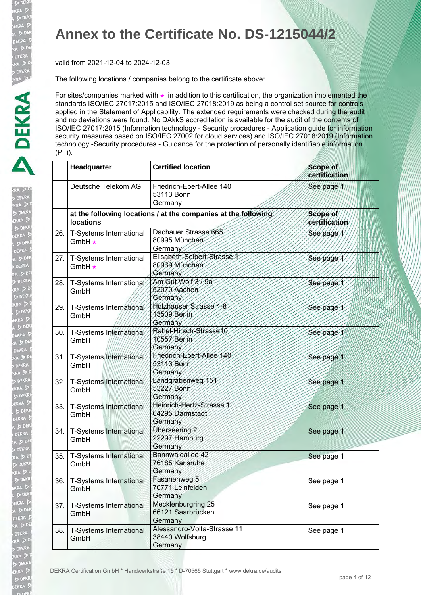D DEK EKRA  $> 05$ DEKRA  $\geq 5$ **DEKR** 

D DEK

EKRA

A D

k Derig<br>KRA D<br>DEKR<br>EKRA D

**DEK EKRA** DEN **DEKRA**  $\sum$ 

 $D<sub>0</sub>$ .<br>BEKRA  $A > 0$ DEKRA

### **Annex to the Certificate No. DS-1215044/2**

valid from 2021-12-04 to 2024-12-03

The following locations / companies belong to the certificate above:

|     | Headquarter                             | <b>Certified location</b>                                      | <b>Scope of</b><br>certification |
|-----|-----------------------------------------|----------------------------------------------------------------|----------------------------------|
|     | Deutsche Telekom AG                     | Friedrich-Ebert-Allee 140<br>53113 Bonn<br>Germany             | See page 1                       |
|     | <b>locations</b>                        | at the following locations / at the companies at the following | Scope of<br>certification        |
| 26. | T-Systems International<br>GmbH $\star$ | Dachauer Strasse 665<br>80995 München<br>Germany               | See page/                        |
| 27. | T-Systems International<br>GmbH *       | Elisabeth-Selbert-Strasse 1<br>80939 München<br>Germany        | See page 1                       |
| 28. | T-Systems International<br>GmbH         | Am Gut Wolf 3/9a<br>52070 Aachen<br>Germany                    | See page 1                       |
| 29. | T-Systems International<br>GmbH         | Holzhauser Strasse 4-8<br>13509 Berlin<br>Germany              | See page 1                       |
|     | 30.   T-Systems International<br>GmbH   | Rahel-Hirsch-Strasse10<br>10557 Berlin<br>Germany              | See page 1                       |
|     | 31. T-Systems International<br>GmbH     | Friedrich-Ebert-Allee 140<br>53113 Bonn<br>Germany             | See page 1                       |
|     | 32.   T-Systems International<br>GmbH   | Landgrabenweg 151<br>53227 Bonn<br>Germany                     | See page 1                       |
| 33. | T-Systems International<br>GmbH         | Heinrich-Hertz-Strasse 1<br>64295 Darmstadt<br>Germany         | See page 1                       |
|     | 34.   T-Systems International<br>GmbH   | Überseering 2<br>22297 Hamburg<br>Germany                      | See page 1                       |
| 35. | T-Systems International<br>GmbH         | Bannwaldallee 42<br>76185 Karlsruhe<br>Germany                 | See page 1                       |
| 36. | T-Systems International<br>GmbH         | Fasanenweg 5<br>70771 Leinfelden<br>Germany                    | See page 1                       |
| 37. | T-Systems International<br>GmbH         | Mecklenburgring 25<br>66121 Saarbrücken<br>Germany             | See page 1                       |
| 38. | <b>T-Systems International</b><br>GmbH  | Alessandro-Volta-Strasse 11<br>38440 Wolfsburg<br>Germany      | See page 1                       |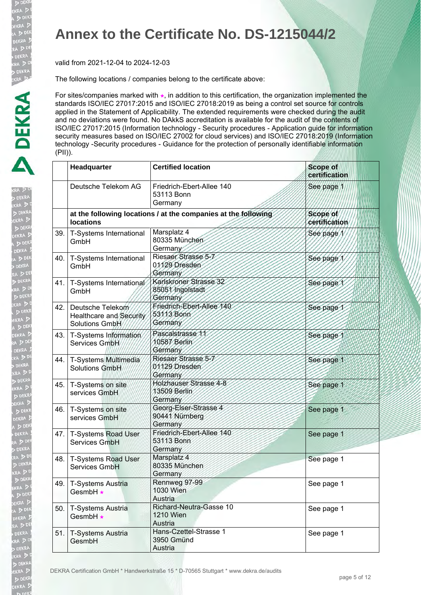D DEK EKRA  $> 0.5$ DEKRA  $\geq 5$ **DEKR** 

**DEK**<br>KRA D

EKRA

a D<sup>D</sup><br>DEKRA ia D

DERNO<br>KRA D<br>DEKR<br>EKRA D

**DEK EKRA** DER **DEKRA**  $\sqrt{2}$ 

 $D<sub>0</sub>$ .<br>EKRA  $A > 0$ **DEKRA** RA<sub>D</sub>

### **Annex to the Certificate No. DS-1215044/2**

valid from 2021-12-04 to 2024-12-03

The following locations / companies belong to the certificate above:

|     | Headquarter                                                       | <b>Certified location</b>                                      | <b>Scope of</b><br>certification |
|-----|-------------------------------------------------------------------|----------------------------------------------------------------|----------------------------------|
|     | Deutsche Telekom AG                                               | Friedrich-Ebert-Allee 140<br>53113 Bonn<br>Germany             | See page 1                       |
|     | <b>locations</b>                                                  | at the following locations / at the companies at the following | Scope of<br>certification        |
| 39. | T-Systems International<br>GmbH                                   | Marsplatz 4<br>80335 München<br>Germany                        | See page                         |
| 40. | T-Systems International<br>GmbH                                   | Riesaer Strasse 5-7<br>01129 Dresden<br>Germany                | See page 1                       |
| 41. | T-Systems International<br>GmbH                                   | Karlskroner Strasse 32<br>85051 Ingolstadt<br>Germany          | See page 1                       |
|     | 42. Deutsche Telekom<br>Healthcare and Security<br>Solutions GmbH | Friedrich-Ebert-Allee 140<br>53113 Bonn<br>Germany             | See page                         |
| 43. | T-Systems Information<br>Services GmbH/                           | Pascalstrasse 11<br>10587 Betlin<br>Germany                    | See page 1                       |
| 44. | T-Systems Multimedia<br>Solutions GmbH                            | Riesaer Strasse 5-7<br>01129 Dresden<br>Germany                | See page 1                       |
| 45. | T-Systems on site<br>services GmbH                                | Holzhauser Strasse 4-8<br>13509 Berlin<br>Germany              | See page 1                       |
| 46. | T-Systems on site<br>services GmbH                                | Georg-Elser-Strasse 4<br>90441 Nürnberg<br>Germany             | See page 1                       |
|     | 47.   T-Systems Road User<br>Services GmbH                        | Friedrich-Ebert-Allee 140<br>53113 Bonn<br>Germany             | See page 1                       |
| 48. | T-Systems Road User<br>Services GmbH                              | Marsplatz 4<br>80335 München<br>Germany                        | See page 1                       |
| 49. | T-Systems Austria<br>GesmbH *                                     | Rennweg 97-99<br>1030 Wien<br>Austria                          | See page 1                       |
| 50. | T-Systems Austria<br>GesmbH *                                     | Richard-Neutra-Gasse 10<br><b>1210 Wien</b><br>Austria         | See page 1                       |
| 51. | T-Systems Austria<br>GesmbH                                       | Hans-Czettel-Strasse 1<br>3950 Gmünd<br>Austria                | See page 1                       |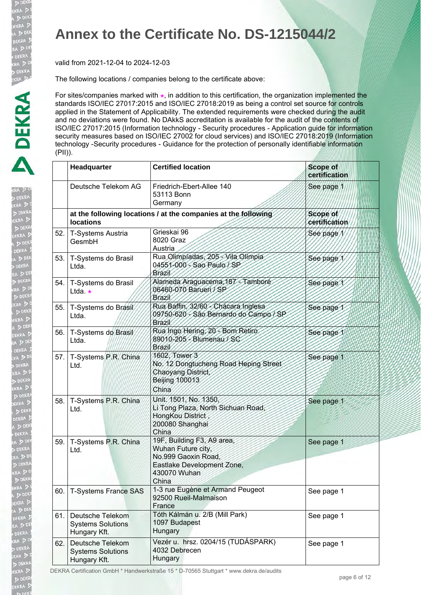D DEK EKRA  $> 0.5$ DEKRA  $\geq 5$ **DEKR** 

**DEK**<br>KRA D

EKRA

A D<sup>D</sup><br>DEKRA ia D

> DEKRA<br>KRA D<br>D DEKR<br>EKRA D

**DEK EKRA**  $\sum_{n=1}^{\infty}$ DEKRA  $\sqrt{50}$ 

 $D<sub>D</sub>$ .<br>EKRA  $A > 0$ DEKRA RA<sub>D</sub>

### **Annex to the Certificate No. DS-1215044/2**

valid from 2021-12-04 to 2024-12-03

The following locations / companies belong to the certificate above:

For sites/companies marked with  $\star$ , in addition to this certification, the organization implemented the standards ISO/IEC 27017:2015 and ISO/IEC 27018:2019 as being a control set source for controls applied in the Statement of Applicability. The extended requirements were checked during the audit and no deviations were found. No DAkkS accreditation is available for the audit of the contents of ISO/IEC 27017:2015 (Information technology - Security procedures - Application guide for information security measures based on ISO/IEC 27002 for cloud services) and ISO/IEC 27018:2019 (Information technology -Security procedures - Guidance for the protection of personally identifiable information (PII)).

|      | Headquarter                                                  | <b>Certified location</b>                                                                                                     | <b>Scope of</b><br>certification |
|------|--------------------------------------------------------------|-------------------------------------------------------------------------------------------------------------------------------|----------------------------------|
|      | Deutsche Telekom AG                                          | Friedrich-Ebert-Allee 140<br>53113 Bonn<br>Germany                                                                            | See page 1                       |
|      | <b>locations</b>                                             | at the following locations / at the companies at the following                                                                | Scope of<br>certification        |
| 52.  | T-Systems Austria<br>GesmbH                                  | Grieskai 96<br>8020 Graz<br>Austria                                                                                           | See page                         |
| 53.  | T-Systems do Brasil<br>Ltda.                                 | Rua Olimpíadas, 205 - Vila Olimpia<br>04551-000 - Sao Paulo / SP<br>Brazil                                                    | See page                         |
| 54.  | T-Systems do Brasil<br>Ltda $\star$                          | Alameda Araguacema, 187 - Tamboré<br>06460-070 Barueri / SP<br>Brazil                                                         | See page 1                       |
| 55.1 | T-Systems do Brasil<br>Ltda.                                 | Rua Baffin, 32/60 - Chacara Inglesa<br>09750-620 - São Bernardo do Campo / SP<br><b>Brazil</b>                                | See page 1                       |
| 56.  | T-Systems do Brasil<br>Ltda.                                 | Rua Ingo Hering, 20 - Bom Retiro<br>89010-205 - Blumenau / SC<br>Brazil                                                       | See page 1                       |
|      | 57. T-Systems P.R. China<br>Ltd.                             | 1602, Tower 3<br>No. 12 Dongtucheng Road Heping Street<br>Chaoyang District,<br>Beijing 100013<br>China                       | See page 1                       |
| 58.  | T-Systems P.R. China<br>Ltd.                                 | Unit. 1501, No. 1350<br>Li Tong Plaza, North Sichuan Road,<br>HongKou District<br>200080 Shanghai<br>China                    | See page 1                       |
| 59.  | T-Systems P.R. China<br>Ltd.                                 | 19F, Building F3, A9 area,<br>Wuhan Future city<br>No.999 Gaoxin Road.<br>Eastlake Development Zone,<br>430070 Wuhan<br>China | See page 1                       |
| 60.  | <b>T-Systems France SAS</b>                                  | 1-3 rue Eugène et Armand Peugeot<br>92500 Rueil-Malmaison<br>France                                                           | See page 1                       |
| 61.  | Deutsche Telekom<br><b>Systems Solutions</b><br>Hungary Kft. | Tóth Kálmán u. 2/B (Mill Park)<br>1097 Budapest<br>Hungary                                                                    | See page 1                       |
| 62.  | Deutsche Telekom<br><b>Systems Solutions</b><br>Hungary Kft. | Vezér u. hrsz. 0204/15 (TUDÁSPARK)<br>4032 Debrecen<br>Hungary                                                                | See page 1                       |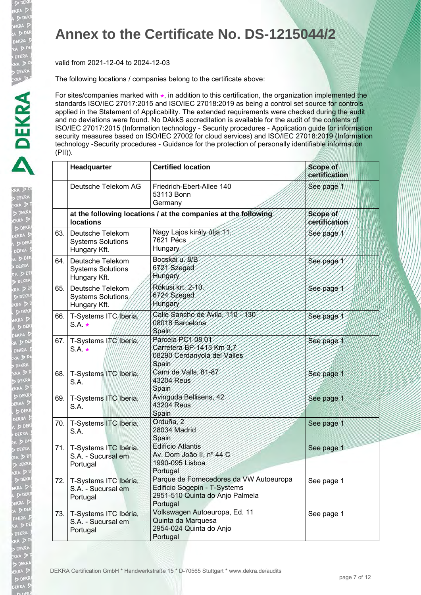D DEK EKRA  $> 05$ DEKRA  $\geq 5$ 

**DEK**<br>KRA D

**DE** 

A D

.<br>KRA 5 **DEK EKRA** DEN **DEKRA**  $\sum$ 

 $D<sub>0</sub>$ **EKRA**  $A > 0$ **DEKRA** 

### **Annex to the Certificate No. DS-1215044/2**

valid from 2021-12-04 to 2024-12-03

The following locations / companies belong to the certificate above:

|     | Headquarter                                                      | <b>Certified location</b>                                                                                              | <b>Scope of</b><br>certification |
|-----|------------------------------------------------------------------|------------------------------------------------------------------------------------------------------------------------|----------------------------------|
|     | Deutsche Telekom AG                                              | Friedrich-Ebert-Allee 140<br>53113 Bonn<br>Germany                                                                     | See page 1                       |
|     | <b>locations</b>                                                 | at the following locations / at the companies at the following                                                         | Scope of<br>certification        |
|     | 63. Deutsche Telekom<br><b>Systems Solutions</b><br>Hungary Kft. | Nagy Lajos király útja 11.<br>7621 Pécs<br>Hungary                                                                     | See page                         |
| 64. | Deutsche Telekom<br><b>Systems Solutions</b><br>Hungary Kft.     | Bocskar u 8/B<br>6721 Szeged<br>Hungary                                                                                | See page                         |
| 65. | Deutsche Telekom<br><b>Systems Solutions</b><br>Hungary Kft.     | Rókusi krt. 2-10.<br>6724 Szeged<br>Hungary                                                                            | See page                         |
| 66. | T-Systems ITC (beria,<br>$S.A. \star$                            | Calle Sancho de Avila, 110-130<br>08018 Barcelona<br>Spain                                                             | See page 1                       |
|     | 67. T-Systems ITC/Iberia/<br>$S.A. \star$                        | Parcela PC1 08 01<br>Carretera BP-1413 Km 3.7<br>08290 Cerdanyola del Valles<br><b>Spain</b>                           | See page 1                       |
|     | 68.   T-Systems ITC Iberia,<br>S.A.                              | Cami de Valls, 81-87<br>43204 Reus<br>Spain                                                                            | See page 1                       |
|     | 69.   T-Systems ITC Iberia,<br>S.A.                              | Avinguda Bellisens, 42<br>43204 Reus<br>Spain                                                                          | See page 1                       |
|     | 70.   T-Systems ITC Iberia,<br>S.A.                              | Orduña, 2<br>28034 Madrid<br>Spain                                                                                     | See page 1                       |
|     | 71.   T-Systems ITC Ibéria,<br>S.A. - Sucursal em<br>Portugal    | <b>Edifício Atlantis</b><br>Av. Dom João II, nº 44 C<br>1990-095 Lisboa<br>Portugal                                    | See page 1                       |
|     | 72.   T-Systems ITC Ibéria,<br>S.A. - Sucursal em<br>Portugal    | Parque de Fornecedores da VW Autoeuropa<br>Edificio Sogepin - T-Systems<br>2951-510 Quinta do Anjo Palmela<br>Portugal | See page 1                       |
|     | 73.   T-Systems ITC Ibéria,<br>S.A. - Sucursal em<br>Portugal    | Volkswagen Autoeuropa, Ed. 11<br>Quinta da Marquesa<br>2954-024 Quinta do Anjo<br>Portugal                             | See page 1                       |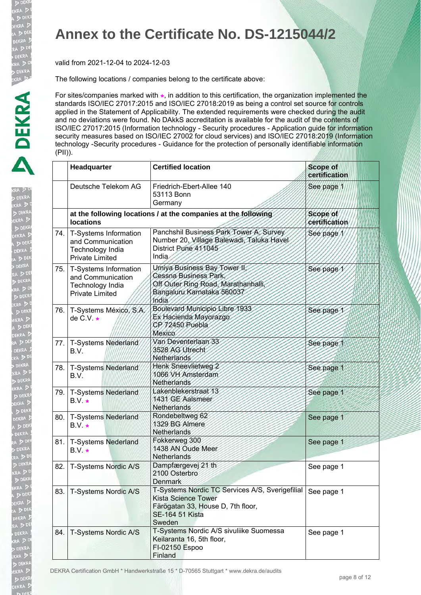D DEK EKRA  $> 0.5$ DEKRA  $D<sup>0</sup>$ **DEKR** 

**DEK**<br>KRA D

EKRA

A D<sup>DI</sup><br>DEKRA ia D

> DEKRA<br>KRA D<br>D DEKR<br>EKRA D

**DEK EKRA** DEKRA  $\sqrt{50}$ 

 $D<sub>D</sub>$ **TEKRA**  $A \geq 0$ DEKRA RA<sub>D</sub>

### **Annex to the Certificate No. DS-1215044/2**

valid from 2021-12-04 to 2024-12-03

The following locations / companies belong to the certificate above:

For sites/companies marked with  $\star$ , in addition to this certification, the organization implemented the standards ISO/IEC 27017:2015 and ISO/IEC 27018:2019 as being a control set source for controls applied in the Statement of Applicability. The extended requirements were checked during the audit and no deviations were found. No DAkkS accreditation is available for the audit of the contents of ISO/IEC 27017:2015 (Information technology - Security procedures - Application guide for information security measures based on ISO/IEC 27002 for cloud services) and ISO/IEC 27018:2019 (Information technology -Security procedures - Guidance for the protection of personally identifiable information (PII)).

|     | Headquarter                                                                              | <b>Certified location</b>                                                                                                                              | <b>Scope of</b><br>certification |
|-----|------------------------------------------------------------------------------------------|--------------------------------------------------------------------------------------------------------------------------------------------------------|----------------------------------|
|     | Deutsche Telekom AG                                                                      | Friedrich-Ebert-Allee 140<br>53113 Bonn<br>Germany                                                                                                     | See page 1                       |
|     | <b>locations</b>                                                                         | at the following locations / at the companies at the following                                                                                         | Scope of<br>certification        |
| 74. | T-Systems Information<br>and Communication<br>Technology India<br><b>Private Limited</b> | Panchshil Business Park Tower A, Survey<br>Number 20, Village Balewadi, Taluka Havel<br>District Pune 411045<br>India                                  | Sée page                         |
| 75. | T-Systems Information<br>and Communication<br>Technology India<br><b>Private Limited</b> | Umiya Business Bay Tower II,<br>Cessna Business Park<br>Off Outer Ring Road, Marathanhalli,<br>Bangaluru Karnataka 560037<br>hodia                     | See page 1                       |
| 76. | T-Systems México, S.A.<br>de C.V. $\star$                                                | Boulevard Municipio Libre 1933<br>Ex Hacienda Mayorazgo<br>CP/72450 Puebla<br><b>Mexico</b>                                                            | See page 1                       |
| 77. | T-Systems Nederland<br>B.V.                                                              | Van Deventerlaan 33<br>3528 AG Utrecht<br>Netherlands                                                                                                  | See page 1                       |
| 78. | T-Systems Nederland<br>B.V.                                                              | Henk Sneevlietweg 2<br>1066 VH Amsterdam<br>Netherlands                                                                                                | See page 1                       |
| 79. | T-Systems Nederland<br>$B.V. \star$                                                      | Lakenblekerstraat 13<br>1431 GE Aalsmeer<br>Netherlands                                                                                                | See page 1                       |
| 80. | <b>T-Systems Nederland</b><br>$B.V.$ $\star$                                             | Rondebeltweg 62<br>1329 BG Almere<br>Netherlands                                                                                                       | See page 1                       |
| 81. | <b>T-Systems Nederland</b><br>$B.V.$ $\star$                                             | Fokkerweg 300<br>1438 AN Oude Meer<br>Netherlands                                                                                                      | See page 1                       |
| 82. | T-Systems Nordic A/S                                                                     | Dampfærgevej 21 th<br>2100 Osterbro<br>Denmark                                                                                                         | See page 1                       |
| 83. | T-Systems Nordic A/S                                                                     | T-Systems Nordic TC Services A/S, Sverigefilial<br><b>Kista Science Tower</b><br>Färögatan 33, House D, 7th floor,<br><b>SE-164 51 Kista</b><br>Sweden | See page 1                       |
| 84. | T-Systems Nordic A/S                                                                     | T-Systems Nordic A/S sivuliike Suomessa<br>Keilaranta 16, 5th floor,<br>FI-02150 Espoo<br>Finland                                                      | See page 1                       |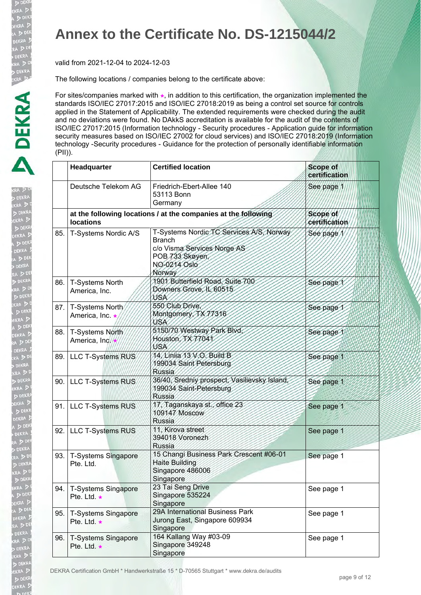D DEK EKRA  $>DEK$ DEKRA  $\geq 5$ **DEKR** 

D DEK

EKRA

A D

k Derig<br>KRA D<br>DEKR<br>EKRA D

**DEK EKRA**  $\overline{D}$  DEN **DEKRA**  $\sum$ 

 $D<sub>0</sub>$ .<br>EKRA  $A > 0$ **DEKRA** 

### **Annex to the Certificate No. DS-1215044/2**

valid from 2021-12-04 to 2024-12-03

The following locations / companies belong to the certificate above:

For sites/companies marked with  $\star$ , in addition to this certification, the organization implemented the standards ISO/IEC 27017:2015 and ISO/IEC 27018:2019 as being a control set source for controls applied in the Statement of Applicability. The extended requirements were checked during the audit and no deviations were found. No DAkkS accreditation is available for the audit of the contents of ISO/IEC 27017:2015 (Information technology - Security procedures - Application guide for information security measures based on ISO/IEC 27002 for cloud services) and ISO/IEC 27018:2019 (Information technology -Security procedures - Guidance for the protection of personally identifiable information (PII)).

|      | Headquarter                               | <b>Certified location</b>                                                                                                             | <b>Scope of</b><br>certification |
|------|-------------------------------------------|---------------------------------------------------------------------------------------------------------------------------------------|----------------------------------|
|      | Deutsche Telekom AG                       | Friedrich-Ebert-Allee 140<br>53113 Bonn<br>Germany                                                                                    | See page 1                       |
|      | <b>locations</b>                          | at the following locations / at the companies at the following                                                                        | Scope of<br>certification        |
| 85.  | T-Systems Nordic A/S                      | T-Systems Nordic TC Services A/S, Norway<br><b>Branch</b><br>c/o Visma Services Norge AS<br>POB 733 Skøyen,<br>NO-0214 Oslo<br>Norway | See page                         |
| 86.  | T-Systems North<br>America, Inc.          | 1901 Butterfield Road, Suite 700<br>Downers Grove, IL 60515<br>USA                                                                    | See page 1                       |
|      | 87.   T-Systems North<br>America, Inc. ★  | 550 Club Drive,<br>Montgomery, TX 77316<br>USA                                                                                        | See page 1                       |
| 88.  | T-Systems North<br>America, Inc.          | 5150/70 Westway Park Blvd,<br>Houston, TX 77041<br>VSA                                                                                | See page 1                       |
|      | 89. LLC T-Systems RUS                     | 14. Vinija 13 V.O. Build B<br>199034 Saint Petersburg<br>Russia                                                                       | See page 1                       |
| 90.1 | LLC T-Systems RUS                         | 36/40, Sredniy prospect, Vasilievsky Island,<br>199034 Saint-Petersburg<br>Russia                                                     | See page 1                       |
| 91.1 | <b>LLC T-Systems RUS</b>                  | 17, Taganskaya st., office 23<br>109147 Moscow<br><b>Russia</b>                                                                       | See page 1                       |
| 92.  | <b>LLC T-Systems RUS</b>                  | 11, Kirova street<br>394018 Voronezh<br><b>Russia</b>                                                                                 | See page 1                       |
| 93.  | <b>T-Systems Singapore</b><br>Pte. Ltd.   | 15 Changi Business Park Crescent #06-01<br><b>Haite Building</b><br>Singapore 486006<br>Singapore                                     | See page 1                       |
| 94.  | T-Systems Singapore<br>Pte. Ltd. *        | 23 Tai Seng Drive<br>Singapore 535224<br>Singapore                                                                                    | See page 1                       |
| 95.  | T-Systems Singapore<br>Pte. Ltd. $\star$  | 29A International Business Park<br>Jurong East, Singapore 609934<br>Singapore                                                         | See page 1                       |
| 96.  | <b>T-Systems Singapore</b><br>Pte. Ltd. * | 164 Kallang Way #03-09<br>Singapore 349248<br>Singapore                                                                               | See page 1                       |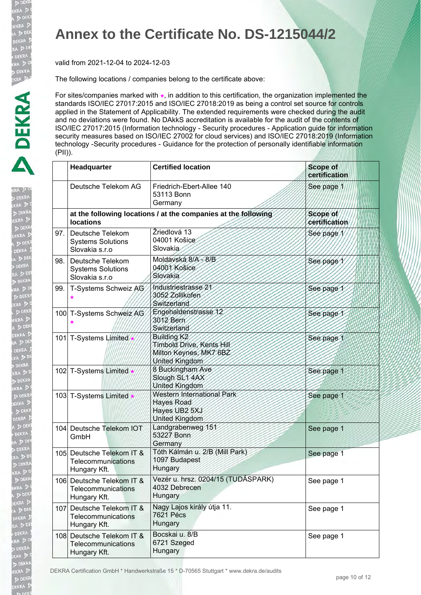D DEK EKRA  $>DEK$ DEKRA  $\geq 5$ **DEKR** 

D DEK

EKRA

A D

k Derig<br>KRA D<br>DEKR<br>EKRA D

**DEK EKRA**  $\overline{D}$  DEN **DEKRA**  $\sum$ 

 $D<sub>0</sub>$ .<br>EKRA  $A > 0$ **DEKRA** RA<sub>D</sub>

### **Annex to the Certificate No. DS-1215044/2**

valid from 2021-12-04 to 2024-12-03

The following locations / companies belong to the certificate above:

For sites/companies marked with  $\star$ , in addition to this certification, the organization implemented the standards ISO/IEC 27017:2015 and ISO/IEC 27018:2019 as being a control set source for controls applied in the Statement of Applicability. The extended requirements were checked during the audit and no deviations were found. No DAkkS accreditation is available for the audit of the contents of ISO/IEC 27017:2015 (Information technology - Security procedures - Application guide for information security measures based on ISO/IEC 27002 for cloud services) and ISO/IEC 27018:2019 (Information technology -Security procedures - Guidance for the protection of personally identifiable information (PII)).

|      | Headquarter                                                     | <b>Certified location</b>                                                                        | <b>Scope of</b><br>certification |
|------|-----------------------------------------------------------------|--------------------------------------------------------------------------------------------------|----------------------------------|
|      | Deutsche Telekom AG                                             | Friedrich-Ebert-Allee 140<br>53113 Bonn<br>Germany                                               | See page 1                       |
|      | <b>locations</b>                                                | at the following locations / at the companies at the following                                   | Scope of<br>certification        |
| 97.1 | Deutsche Telekom<br><b>Systems Solutions</b><br>Slovakia s.r.o  | Žriedlová 13<br>04001 Košice<br>Slovakia                                                         | See page                         |
| 98.  | Deutsche Telekom<br><b>Systems Solutions</b><br>Slovakia s.r.o  | Moldavská 8/A - 8/B<br>04001 Košice<br>Slovakia                                                  | See page                         |
| 99.1 | T-Systems Schweiz AG                                            | Industriestrasse 21<br>3052 Zollikofen<br>Switzerland                                            | See page                         |
|      | 100 T-Systems Schweiz AG                                        | Engehaldenstrasse 12<br>3012 Bern<br>Switzerland                                                 | See page                         |
|      | 101 T-Systems Limited                                           | Building K <sub>2</sub><br>Timbold Drive, Kents Hill<br>Milton Keynes, MK7 6BZ<br>United Kingdom | See page 1                       |
|      | 102 T-Systems Limited                                           | 8 Buckingham Ave<br>Slough SL1 4AX<br>United Kingdom                                             | See page 1                       |
|      | 103 T-Systems Limited *                                         | Western International Park<br><b>Hayes Road</b><br>Hayes UB2 5XJ<br>United Kingdom               | See page 1                       |
|      | 104 Deutsche Telekom IOT<br>GmbH                                | Landgrabenweg 151<br>53227 Bonn<br>Germany                                                       | See page 1                       |
|      | 105 Deutsche Telekom IT &<br>Telecommunications<br>Hungary Kft. | Tóth Kálmán u. 2/B (Mill Park)<br>1097 Budapest<br>Hungary                                       | See page 1                       |
|      | 106 Deutsche Telekom IT &<br>Telecommunications<br>Hungary Kft. | Vezér u. hrsz. 0204/15 (TUDÁSPARK)<br>4032 Debrecen<br>Hungary                                   | See page 1                       |
|      | 107 Deutsche Telekom IT &<br>Telecommunications<br>Hungary Kft. | Nagy Lajos király útja 11.<br><b>7621 Pécs</b><br>Hungary                                        | See page 1                       |
|      | 108 Deutsche Telekom IT &<br>Telecommunications<br>Hungary Kft. | Bocskai u. 8/B<br>6721 Szeged<br>Hungary                                                         | See page 1                       |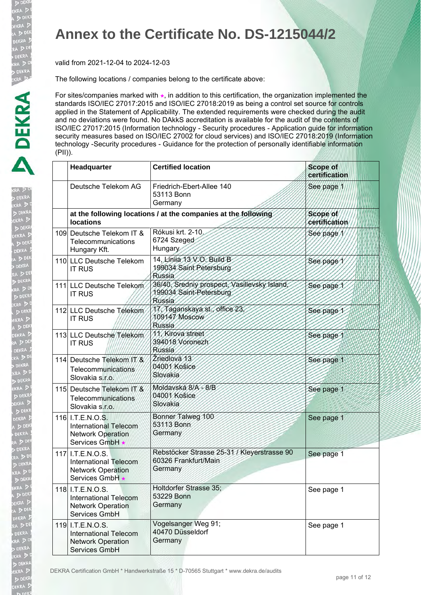D DEK EKRA  $> 0.5$ DEKRA  $D<sup>0</sup>$ **DEKR** 

**DEK**<br>KRA D

EKRA

A D<sup>D</sup><br>DEKRA ia D

> DERNO<br>KRA D<br>D DEKR<br>EKRA D

**DEK EKRA**  $\sum_{n=1}^{\infty}$ DEKRA  $\sqrt{50}$ 

 $D<sub>0</sub>$ .<br>EKRA  $A > 0$ **DEKRA** RA<sub>D</sub>

### **Annex to the Certificate No. DS-1215044/2**

valid from 2021-12-04 to 2024-12-03

The following locations / companies belong to the certificate above:

For sites/companies marked with  $\star$ , in addition to this certification, the organization implemented the standards ISO/IEC 27017:2015 and ISO/IEC 27018:2019 as being a control set source for controls applied in the Statement of Applicability. The extended requirements were checked during the audit and no deviations were found. No DAkkS accreditation is available for the audit of the contents of ISO/IEC 27017:2015 (Information technology - Security procedures - Application guide for information security measures based on ISO/IEC 27002 for cloud services) and ISO/IEC 27018:2019 (Information technology -Security procedures - Guidance for the protection of personally identifiable information (PII)).

| Headquarter                                                                                     | <b>Certified location</b>                                                                | <b>Scope of</b><br>certification |
|-------------------------------------------------------------------------------------------------|------------------------------------------------------------------------------------------|----------------------------------|
| Deutsche Telekom AG                                                                             | Friedrich-Ebert-Allee 140<br>53113 Bonn<br>Germany                                       | See page 1                       |
| <b>locations</b>                                                                                | at the following locations / at the companies at the following                           | Scope of<br>certification        |
| 109 Deutsche Telekom IT &<br>Telecommunications<br>Hungary Kft.                                 | Rókusi krt. 2-10.<br>6724 Szeged<br>Hungary                                              | See page/                        |
| 110 LLC Deutsche Telekom<br><b>IT RUS</b>                                                       | 14, Linija 13 V.O. Build B<br>199034 Saint Petersburg<br><b>Russia</b>                   | See page 1                       |
| 111 LLC Deutsche Telekom<br><b>IT RUS</b>                                                       | 36/40, Sredniy prospect, Vasilievsky Island,<br>199034 Saint-Petersburg<br><b>Russia</b> | See page 1                       |
| 112 LLC Deutsche Telekom<br><b>IT RUS</b>                                                       | 17, Taganskaya st., office 23.<br>109147 Moscow<br>Russia                                | See page 1                       |
| 113 LLC Deutsche Telekom<br><b>IT RUS</b>                                                       | 11, Kirova street<br>394018 Voronezh<br>Russia                                           | See page 1                       |
| 114 Deutsche Telekom /T &<br><b>Telecommunications</b><br>Slovakia s.r.o.                       | Žriedlová 13<br>04001 Košice<br>Slovakia                                                 | See page 1                       |
| 115 Deutsche Telekom IT &<br>Telecommunications<br>Slovakia s.r.o.                              | Moldavská 8/A - 8/B<br>04001 Košice<br><b>Slovakia</b>                                   | See page 1                       |
| 116 I.T.E.N.O.S.<br><b>International Telecom</b><br><b>Network Operation</b><br>Services GmbH   | Bonner Talweg 100<br>53113 Bonn<br>Germany                                               | See page 1                       |
| 117 I.T.E.N.O.S.<br><b>International Telecom</b><br><b>Network Operation</b><br>Services GmbH * | Rebstöcker Strasse 25-31 / Kleyerstrasse 90<br>60326 Frankfurt/Main<br>Germany           | See page 1                       |
| 118 I.T.E.N.O.S.<br><b>International Telecom</b><br><b>Network Operation</b><br>Services GmbH   | Holtdorfer Strasse 35;<br>53229 Bonn<br>Germany                                          | See page 1                       |
| 119 I.T.E.N.O.S.<br><b>International Telecom</b><br><b>Network Operation</b><br>Services GmbH   | Vogelsanger Weg 91;<br>40470 Düsseldorf<br>Germany                                       | See page 1                       |